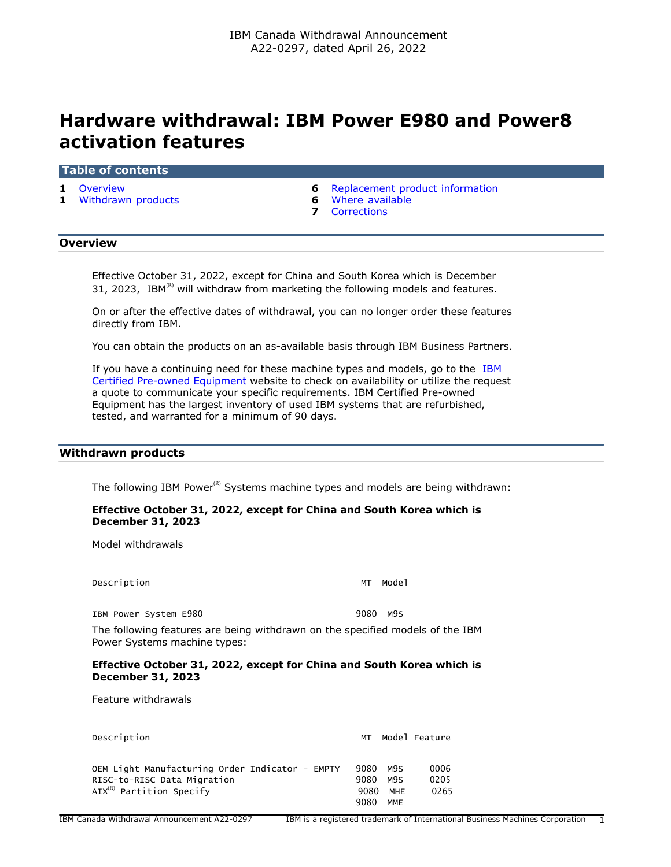# **Hardware withdrawal: IBM Power E980 and Power8 activation features**

#### **Table of contents**

- 
- **1** [Withdrawn products](#page-0-1) **6** [Where available](#page-5-1)
- **1** [Overview](#page-0-0) **6** [Replacement product information](#page-5-0)
	-
	- **7** [Corrections](#page-6-0)

# <span id="page-0-0"></span>**Overview**

Effective October 31, 2022, except for China and South Korea which is December 31, 2023, IBM $<sup>(R)</sup>$  will withdraw from marketing the following models and features.</sup>

On or after the effective dates of withdrawal, you can no longer order these features directly from IBM.

You can obtain the products on an as-available basis through IBM Business Partners.

If you have a continuing need for these machine types and models, go to the [IBM](https://www.ibm.com/financing/pre-owned/ibm-certified-used-equipment) [Certified Pre-owned Equipment](https://www.ibm.com/financing/pre-owned/ibm-certified-used-equipment) website to check on availability or utilize the request a quote to communicate your specific requirements. IBM Certified Pre-owned Equipment has the largest inventory of used IBM systems that are refurbished, tested, and warranted for a minimum of 90 days.

# <span id="page-0-1"></span>**Withdrawn products**

The following IBM Power $<sup>(R)</sup>$  Systems machine types and models are being withdrawn:</sup>

# **Effective October 31, 2022, except for China and South Korea which is December 31, 2023**

Model withdrawals

Description MT Model

IBM Power System E980 9080 M9S

The following features are being withdrawn on the specified models of the IBM Power Systems machine types:

#### **Effective October 31, 2022, except for China and South Korea which is December 31, 2023**

Feature withdrawals

| Description                                     | МT   |            | Model Feature |
|-------------------------------------------------|------|------------|---------------|
|                                                 |      |            |               |
| OEM Light Manufacturing Order Indicator - EMPTY | 9080 | M9S        | 0006          |
| RISC-to-RISC Data Migration                     | 9080 | M9S        | 0205          |
| $AX(R)$ Partition Specify                       | 9080 | MHE        | 0265          |
|                                                 | 9080 | <b>MME</b> |               |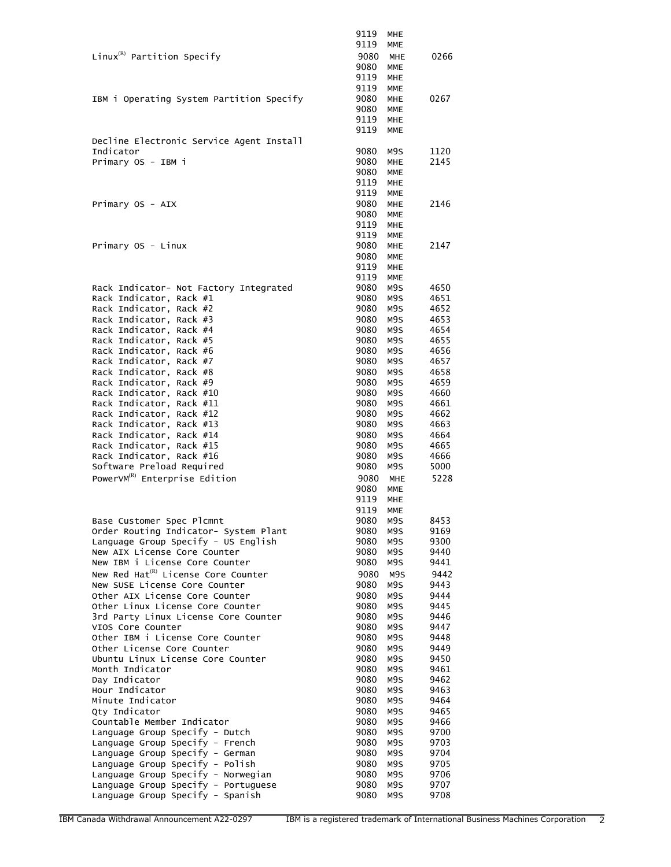|                                                                     | 9119         | MHE                      |              |
|---------------------------------------------------------------------|--------------|--------------------------|--------------|
|                                                                     | 9119         | <b>MME</b>               |              |
| Linux ${}^{\textrm{\tiny(R)}}$ Partition Specify                    | 9080         | <b>MHE</b>               | 0266         |
|                                                                     | 9080         | <b>MME</b>               |              |
|                                                                     | 9119         | <b>MHE</b>               |              |
|                                                                     | 9119         | <b>MME</b>               |              |
| IBM i Operating System Partition Specify                            | 9080<br>9080 | <b>MHE</b><br><b>MME</b> | 0267         |
|                                                                     | 9119         | <b>MHE</b>               |              |
|                                                                     | 9119         | <b>MME</b>               |              |
| Decline Electronic Service Agent Install                            |              |                          |              |
| Indicator                                                           | 9080         | M9S                      | 1120         |
| Primary OS - IBM i                                                  | 9080         | <b>MHE</b>               | 2145         |
|                                                                     | 9080         | <b>MME</b>               |              |
|                                                                     | 9119<br>9119 | <b>MHE</b><br><b>MME</b> |              |
| Primary OS - AIX                                                    | 9080         | <b>MHE</b>               | 2146         |
|                                                                     | 9080         | <b>MME</b>               |              |
|                                                                     | 9119         | MHE                      |              |
|                                                                     | 9119         | <b>MME</b>               |              |
| Primary OS - Linux                                                  | 9080         | <b>MHE</b>               | 2147         |
|                                                                     | 9080         | <b>MME</b>               |              |
|                                                                     | 9119         | <b>MHE</b><br><b>MME</b> |              |
| Rack Indicator- Not Factory Integrated                              | 9119<br>9080 | M9S                      | 4650         |
| Rack Indicator, Rack #1                                             | 9080         | M9S                      | 4651         |
| Rack Indicator, Rack #2                                             | 9080         | M9S                      | 4652         |
| Rack Indicator, Rack #3                                             | 9080         | M9S                      | 4653         |
| Rack Indicator, Rack #4                                             | 9080         | M9S                      | 4654         |
| Rack Indicator, Rack #5                                             | 9080         | M9S                      | 4655         |
| Rack Indicator, Rack #6                                             | 9080         | M9S                      | 4656         |
| Rack Indicator, Rack #7<br>Rack Indicator, Rack #8                  | 9080<br>9080 | M9S<br>M9S               | 4657<br>4658 |
| Rack Indicator, Rack #9                                             | 9080         | M9S                      | 4659         |
| Rack Indicator, Rack #10                                            | 9080         | M9S                      | 4660         |
| Rack Indicator, Rack #11                                            | 9080         | M9S                      | 4661         |
| Rack Indicator, Rack #12                                            | 9080         | M9S                      | 4662         |
| Rack Indicator, Rack #13                                            | 9080         | M9S                      | 4663         |
| Rack Indicator, Rack #14                                            | 9080         | M9S                      | 4664         |
| Rack Indicator, Rack #15                                            | 9080<br>9080 | M9S<br>M9S               | 4665<br>4666 |
| Rack Indicator, Rack #16<br>Software Preload Required               | 9080         | M9S                      | 5000         |
| PowerVM <sup>(R)</sup> Enterprise Edition                           | 9080         | <b>MHE</b>               | 5228         |
|                                                                     | 9080         | <b>MME</b>               |              |
|                                                                     | 9119         | <b>MHE</b>               |              |
|                                                                     | 9119         | <b>MME</b>               |              |
| Base Customer Spec Plcmnt                                           | 9080         | M9S                      | 8453         |
| Order Routing Indicator- System Plant                               | 9080         | M9S                      | 9169         |
| Language Group Specify - US English<br>New AIX License Core Counter | 9080<br>9080 | M9S<br>M9S               | 9300<br>9440 |
| New IBM i License Core Counter                                      | 9080         | M9S                      | 9441         |
| New Red Hat <sup>(R)</sup> License Core Counter                     | 9080         | M9S                      | 9442         |
| New SUSE License Core Counter                                       | 9080         | M9S                      | 9443         |
| Other AIX License Core Counter                                      | 9080         | M9S                      | 9444         |
| Other Linux License Core Counter                                    | 9080         | M9S                      | 9445         |
| 3rd Party Linux License Core Counter                                | 9080         | M9S                      | 9446         |
| VIOS Core Counter<br>Other IBM i License Core Counter               | 9080<br>9080 | M9S<br>M9S               | 9447<br>9448 |
| Other License Core Counter                                          | 9080         | M9S                      | 9449         |
| Ubuntu Linux License Core Counter                                   | 9080         | M9S                      | 9450         |
| Month Indicator                                                     | 9080         | M9S                      | 9461         |
| Day Indicator                                                       | 9080         | M9S                      | 9462         |
| Hour Indicator                                                      | 9080         | M9S                      | 9463         |
| Minute Indicator                                                    | 9080         | M9S                      | 9464         |
| Qty Indicator<br>Countable Member Indicator                         | 9080<br>9080 | M9S<br>M9S               | 9465<br>9466 |
| Language Group Specify - Dutch                                      | 9080         | M9S                      | 9700         |
| Language Group Specify - French                                     | 9080         | M9S                      | 9703         |
| Language Group Specify - German                                     | 9080         | M9S                      | 9704         |
| Language Group Specify - Polish                                     | 9080         | M9S                      | 9705         |
| Language Group Specify - Norwegian                                  | 9080         | M9S                      | 9706         |
| Language Group Specify - Portuguese                                 | 9080<br>9080 | M9S                      | 9707<br>9708 |
| Language Group Specify - Spanish                                    |              | M9S                      |              |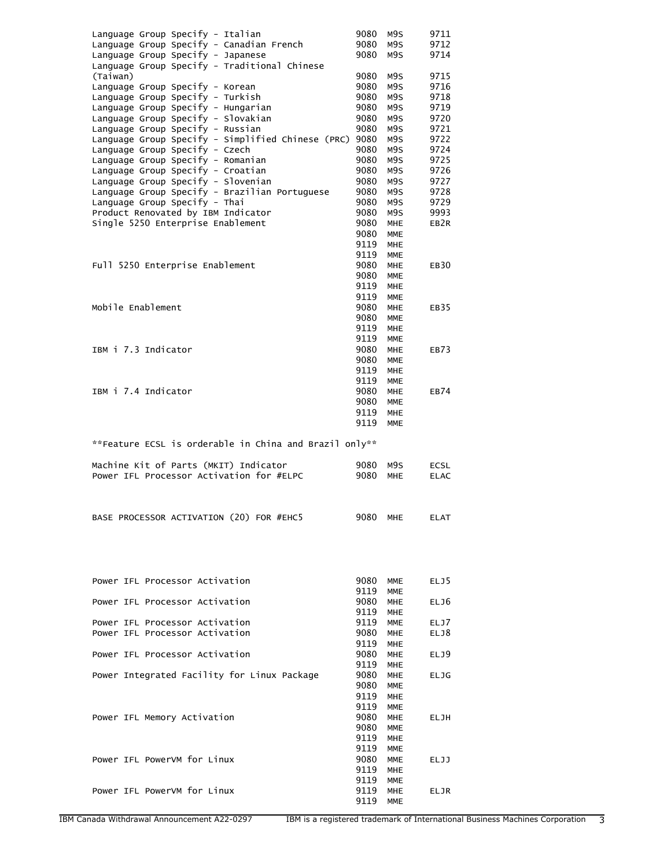| Language Group Specify - Italian                                                    | 9080         | M9S                      | 9711             |
|-------------------------------------------------------------------------------------|--------------|--------------------------|------------------|
| Language Group Specify - Canadian French                                            | 9080         | M9S                      | 9712             |
| Language Group Specify - Japanese                                                   | 9080         | M9S                      | 9714             |
| Language Group Specify - Traditional Chinese                                        |              |                          |                  |
| (Taiwan)<br>Language Group Specify - Korean                                         | 9080<br>9080 | M9S<br>M9S               | 9715<br>9716     |
| Language Group Specify - Turkish                                                    | 9080         | M9S                      | 9718             |
| Language Group Specify - Hungarian                                                  | 9080         | M9S                      | 9719             |
| Language Group Specify - Slovakian                                                  | 9080         | M9S                      | 9720             |
| Language Group Specify - Russian                                                    | 9080         | M9S                      | 9721             |
| Language Group Specify - Simplified Chinese (PRC) 9080                              |              | M9S                      | 9722             |
| Language Group Specify - Czech                                                      | 9080         | M9S                      | 9724             |
| Language Group Specify - Romanian                                                   | 9080         | M9S                      | 9725             |
| Language Group Specify - Croatian                                                   | 9080         | M9S                      | 9726             |
| Language Group Specify - Slovenian<br>Language Group Specify - Brazilian Portuguese | 9080<br>9080 | M9S<br>M9S               | 9727<br>9728     |
| Language Group Specify - Thai                                                       | 9080         | M9S                      | 9729             |
| Product Renovated by IBM Indicator                                                  | 9080         | M9S                      | 9993             |
| Single 5250 Enterprise Enablement                                                   | 9080         | MHE                      | EB <sub>2R</sub> |
|                                                                                     | 9080         | <b>MME</b>               |                  |
|                                                                                     | 9119         | <b>MHE</b>               |                  |
|                                                                                     | 9119         | MME                      |                  |
| Full 5250 Enterprise Enablement                                                     | 9080         | <b>MHE</b>               | EB30             |
|                                                                                     | 9080         | <b>MME</b>               |                  |
|                                                                                     | 9119         | <b>MHE</b>               |                  |
| Mobile Enablement                                                                   | 9119         | <b>MME</b>               |                  |
|                                                                                     | 9080<br>9080 | <b>MHE</b><br><b>MME</b> | EB35             |
|                                                                                     | 9119         | <b>MHE</b>               |                  |
|                                                                                     | 9119         | <b>MME</b>               |                  |
| IBM i 7.3 Indicator                                                                 | 9080         | <b>MHE</b>               | EB73             |
|                                                                                     | 9080         | MME                      |                  |
|                                                                                     | 9119         | <b>MHE</b>               |                  |
|                                                                                     | 9119         | <b>MME</b>               |                  |
| IBM i 7.4 Indicator                                                                 | 9080         | <b>MHE</b>               | <b>EB74</b>      |
|                                                                                     | 9080         | <b>MME</b>               |                  |
|                                                                                     | 9119         | <b>MHE</b>               |                  |
|                                                                                     | 9119         | <b>MME</b>               |                  |
|                                                                                     |              |                          |                  |
|                                                                                     |              |                          |                  |
| **Feature ECSL is orderable in China and Brazil only**                              |              |                          |                  |
| Machine Kit of Parts (MKIT) Indicator                                               | 9080         | M9S                      | <b>ECSL</b>      |
| Power IFL Processor Activation for #ELPC                                            | 9080         | MHE                      | <b>ELAC</b>      |
|                                                                                     |              |                          |                  |
|                                                                                     |              |                          |                  |
|                                                                                     |              |                          |                  |
| BASE PROCESSOR ACTIVATION (20) FOR #EHC5                                            | 9080 MHE     |                          | <b>ELAT</b>      |
|                                                                                     |              |                          |                  |
|                                                                                     |              |                          |                  |
|                                                                                     |              |                          |                  |
|                                                                                     |              |                          |                  |
| Power IFL Processor Activation                                                      | 9080         | MME                      | ELJ5             |
|                                                                                     | 9119         | <b>MME</b>               |                  |
| Power IFL Processor Activation                                                      | 9080         | <b>MHE</b>               | ELJ6             |
| Power IFL Processor Activation                                                      | 9119<br>9119 | MHE<br><b>MME</b>        | ELJ7             |
| Power IFL Processor Activation                                                      | 9080         | <b>MHE</b>               | ELJ8             |
|                                                                                     | 9119         | <b>MHE</b>               |                  |
| Power IFL Processor Activation                                                      | 9080         | <b>MHE</b>               | ELJ9             |
|                                                                                     | 9119         | MHE                      |                  |
| Power Integrated Facility for Linux Package                                         | 9080         | <b>MHE</b>               | <b>ELJG</b>      |
|                                                                                     | 9080         | <b>MME</b>               |                  |
|                                                                                     | 9119         | <b>MHE</b>               |                  |
|                                                                                     | 9119         | <b>MME</b>               |                  |
| Power IFL Memory Activation                                                         | 9080<br>9080 | MHE<br><b>MME</b>        | ELJH             |
|                                                                                     | 9119         | <b>MHE</b>               |                  |
|                                                                                     | 9119         | <b>MME</b>               |                  |
| Power IFL PowerVM for Linux                                                         | 9080         | MME                      | ELJJ             |
|                                                                                     | 9119         | MHE                      |                  |
|                                                                                     | 9119         | MME                      |                  |
| Power IFL PowerVM for Linux                                                         | 9119<br>9119 | <b>MHE</b><br>MME        | ELJR             |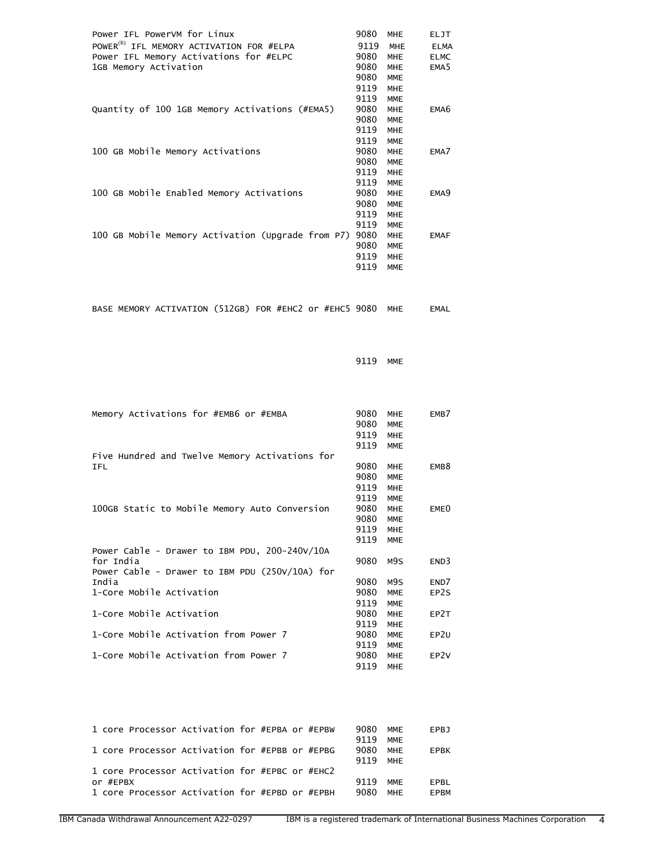| Power IFL PowerVM for Linux                          | 9080 | <b>MHE</b> | <b>ELJT</b>      |
|------------------------------------------------------|------|------------|------------------|
| POWER <sup>(R)</sup> IFL MEMORY ACTIVATION FOR #ELPA | 9119 | <b>MHE</b> | <b>ELMA</b>      |
| Power IFL Memory Activations for #ELPC               | 9080 | <b>MHE</b> | <b>ELMC</b>      |
| 1GB Memory Activation                                | 9080 | <b>MHE</b> | EMA <sub>5</sub> |
|                                                      | 9080 | <b>MME</b> |                  |
|                                                      | 9119 | <b>MHE</b> |                  |
|                                                      | 9119 | <b>MME</b> |                  |
| Quantity of 100 1GB Memory Activations (#EMA5)       | 9080 | <b>MHE</b> | EMA <sub>6</sub> |
|                                                      | 9080 | <b>MME</b> |                  |
|                                                      | 9119 | <b>MHE</b> |                  |
|                                                      | 9119 | <b>MME</b> |                  |
| 100 GB Mobile Memory Activations                     | 9080 | <b>MHE</b> | EMA7             |
|                                                      | 9080 | <b>MME</b> |                  |
|                                                      | 9119 | <b>MHE</b> |                  |
|                                                      | 9119 | <b>MME</b> |                  |
| 100 GB Mobile Enabled Memory Activations             | 9080 | <b>MHE</b> | EMA <sub>9</sub> |
|                                                      | 9080 | <b>MME</b> |                  |
|                                                      | 9119 | <b>MHE</b> |                  |
|                                                      | 9119 | <b>MME</b> |                  |
| 100 GB Mobile Memory Activation (Upgrade from P7)    | 9080 | <b>MHE</b> | <b>EMAF</b>      |
|                                                      | 9080 | <b>MME</b> |                  |
|                                                      | 9119 | <b>MHE</b> |                  |
|                                                      | 9119 | <b>MME</b> |                  |
|                                                      |      |            |                  |

|  |  | BASE MEMORY ACTIVATION (512GB) FOR #EHC2 or #EHC5 9080 MHE |  |  |  |  |  |  |  | EMAL |
|--|--|------------------------------------------------------------|--|--|--|--|--|--|--|------|
|--|--|------------------------------------------------------------|--|--|--|--|--|--|--|------|

9119 MME

| Memory Activations for #EMB6 or #EMBA            | 9080<br>9080<br>9119<br>9119 | <b>MHE</b><br><b>MME</b><br><b>MHE</b><br><b>MME</b> | EMB7             |
|--------------------------------------------------|------------------------------|------------------------------------------------------|------------------|
| Five Hundred and Twelve Memory Activations for   |                              |                                                      |                  |
| IFL                                              | 9080                         | <b>MHE</b>                                           | EMB <sub>8</sub> |
|                                                  | 9080                         | <b>MME</b>                                           |                  |
|                                                  | 9119                         | <b>MHE</b>                                           |                  |
|                                                  | 9119                         | <b>MME</b>                                           |                  |
| 100GB Static to Mobile Memory Auto Conversion    | 9080                         | <b>MHE</b>                                           | EME <sub>0</sub> |
|                                                  | 9080                         | <b>MME</b>                                           |                  |
|                                                  | 9119                         | <b>MHE</b>                                           |                  |
|                                                  | 9119                         | <b>MME</b>                                           |                  |
| Power Cable - Drawer to IBM PDU, 200-240V/10A    |                              |                                                      |                  |
| for India                                        | 9080                         | M9S                                                  | END3             |
| Power Cable - Drawer to IBM PDU $(250V/10A)$ for |                              |                                                      |                  |
| India                                            | 9080                         | M9S                                                  | END7             |
| 1-Core Mobile Activation                         | 9080                         | <b>MME</b>                                           | EP2S             |
|                                                  | 9119                         | <b>MME</b>                                           |                  |
| 1-Core Mobile Activation                         | 9080                         | <b>MHE</b>                                           | EP2T             |
|                                                  | 9119                         | <b>MHE</b>                                           |                  |
| 1-Core Mobile Activation from Power 7            | 9080                         | <b>MME</b>                                           | EP <sub>2U</sub> |
|                                                  | 9119                         | <b>MME</b>                                           |                  |
| 1-Core Mobile Activation from Power 7            | 9080                         | <b>MHE</b>                                           | EP <sub>2V</sub> |
|                                                  | 9119                         | <b>MHE</b>                                           |                  |

| 1 core Processor Activation for #EPBA or #EPBW             |  |  | 9080         | MMF               | EPBJ                |
|------------------------------------------------------------|--|--|--------------|-------------------|---------------------|
| 1 core Processor Activation for #EPBB or #EPBG             |  |  | 9119<br>9080 | <b>MMF</b><br>MHF | <b>EPBK</b>         |
| 1 core Processor Activation for #EPBC or #EHC2             |  |  | 9119         | MHF               |                     |
| or #EPBX<br>1 core Processor Activation for #EPBD or #EPBH |  |  | 9119<br>9080 | <b>MMF</b><br>MHF | FPRI<br><b>FPRM</b> |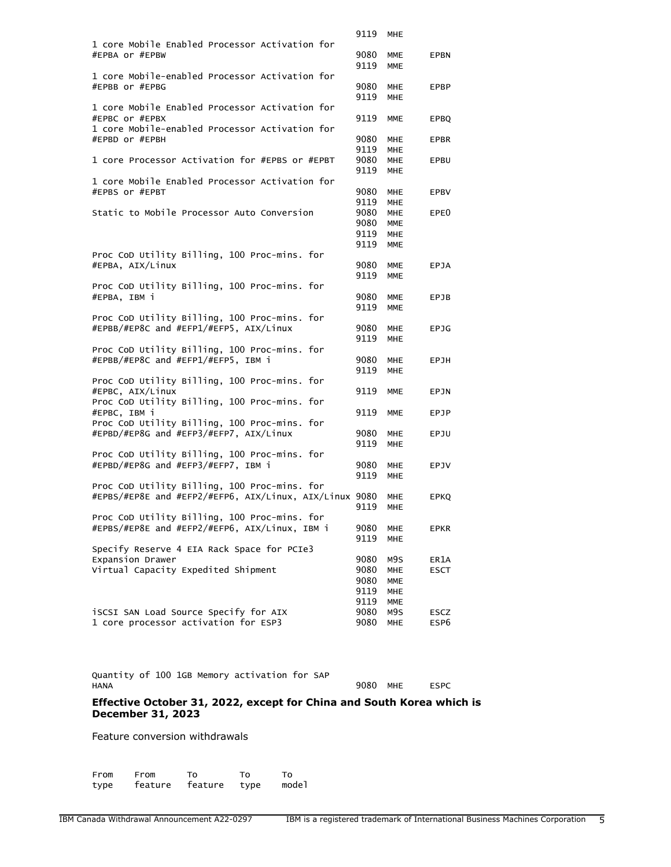| 1 core Mobile Enabled Processor Activation for                                | 9119         | MHE               |              |
|-------------------------------------------------------------------------------|--------------|-------------------|--------------|
|                                                                               |              |                   |              |
| #EPBA or #EPBW                                                                | 9080         | MME               | EPBN         |
|                                                                               | 9119         | <b>MME</b>        |              |
| 1 core Mobile-enabled Processor Activation for                                |              |                   |              |
|                                                                               |              |                   |              |
| #EPBB or #EPBG                                                                | 9080         | <b>MHE</b>        | EPBP         |
|                                                                               | 9119         | <b>MHE</b>        |              |
| 1 core Mobile Enabled Processor Activation for                                |              |                   |              |
| #EPBC or #EPBX                                                                | 9119         | <b>MME</b>        | <b>EPBQ</b>  |
| 1 core Mobile-enabled Processor Activation for                                |              |                   |              |
| #EPBD or #EPBH                                                                | 9080         | <b>MHE</b>        | <b>EPBR</b>  |
|                                                                               | 9119         | MHE               |              |
| 1 core Processor Activation for #EPBS or #EPBT                                | 9080         |                   |              |
|                                                                               |              | MHE               | EPBU         |
|                                                                               | 9119         | <b>MHE</b>        |              |
| 1 core Mobile Enabled Processor Activation for                                |              |                   |              |
| #EPBS or #EPBT                                                                | 9080         | <b>MHE</b>        | EPBV         |
|                                                                               | 9119         | MHE               |              |
| Static to Mobile Processor Auto Conversion                                    | 9080         | MHE               | EPE0         |
|                                                                               | 9080         | <b>MME</b>        |              |
|                                                                               | 9119         | <b>MHE</b>        |              |
|                                                                               | 9119         | <b>MME</b>        |              |
|                                                                               |              |                   |              |
| Proc CoD Utility Billing, 100 Proc-mins. for                                  |              |                   |              |
| #EPBA, AIX/Linux                                                              | 9080         | MME               | <b>EPJA</b>  |
|                                                                               | 9119         | <b>MME</b>        |              |
| Proc CoD Utility Billing, 100 Proc-mins. for                                  |              |                   |              |
| #EPBA, IBM i                                                                  | 9080         | <b>MME</b>        | EPJB         |
|                                                                               | 9119         | <b>MME</b>        |              |
| Proc CoD Utility Billing, 100 Proc-mins. for                                  |              |                   |              |
| #EPBB/#EP8C and #EFP1/#EFP5, AIX/Linux                                        | 9080         | MHE               | <b>EPJG</b>  |
|                                                                               |              |                   |              |
|                                                                               | 9119         | MHE               |              |
| Proc CoD Utility Billing, 100 Proc-mins. for                                  |              |                   |              |
| #EPBB/#EP8C and #EFP1/#EFP5, IBM i                                            | 9080         | MHE               | EPJH         |
|                                                                               | 9119         | MHE               |              |
| Proc CoD Utility Billing, 100 Proc-mins. for                                  |              |                   |              |
| #EPBC, AIX/Linux                                                              | 9119         | MME               | EPJN         |
| Proc CoD Utility Billing, 100 Proc-mins. for                                  |              |                   |              |
| #EPBC, IBM i                                                                  | 9119         | <b>MME</b>        | EPJP         |
| Proc CoD Utility Billing, 100 Proc-mins. for                                  |              |                   |              |
|                                                                               |              |                   |              |
| #EPBD/#EP8G and #EFP3/#EFP7, AIX/Linux                                        | 9080         | MHE.              | EPJU         |
|                                                                               | 9119         | MHE               |              |
|                                                                               |              |                   |              |
| Proc CoD Utility Billing, 100 Proc-mins. for                                  |              |                   |              |
| #EPBD/#EP8G and #EFP3/#EFP7, IBM i                                            | 9080         | MHE               | EPJV         |
|                                                                               | 9119         | MHE               |              |
|                                                                               |              |                   |              |
| Proc CoD Utility Billing, 100 Proc-mins. for                                  |              |                   |              |
| #EPBS/#EP8E and #EFP2/#EFP6, AIX/Linux, AIX/Linux 9080                        |              | MHE               | EPKQ         |
|                                                                               | 9119         | <b>MHE</b>        |              |
| Proc CoD Utility Billing, 100 Proc-mins. for                                  |              |                   |              |
| #EPBS/#EP8E and #EFP2/#EFP6, AIX/Linux, IBM i                                 | 9080         | <b>MHE</b>        | <b>EPKR</b>  |
|                                                                               | 9119         | <b>MHE</b>        |              |
| Specify Reserve 4 EIA Rack Space for PCIe3                                    |              |                   |              |
| Expansion Drawer                                                              | 9080         | M9S               | ER1A         |
| Virtual Capacity Expedited Shipment                                           | 9080         | <b>MHE</b>        | <b>ESCT</b>  |
|                                                                               |              |                   |              |
|                                                                               | 9080         | <b>MME</b>        |              |
|                                                                               | 9119         | <b>MHE</b>        |              |
|                                                                               | 9119         | MME               |              |
| iSCSI SAN Load Source Specify for AIX<br>1 core processor activation for ESP3 | 9080<br>9080 | M9S<br><b>MHE</b> | ESCZ<br>ESP6 |

Quantity of 100 1GB Memory activation for SAP

9080 MHE ESPC

#### **Effective October 31, 2022, except for China and South Korea which is December 31, 2023**

Feature conversion withdrawals

From From To To To<br>type feature feature type model type feature feature type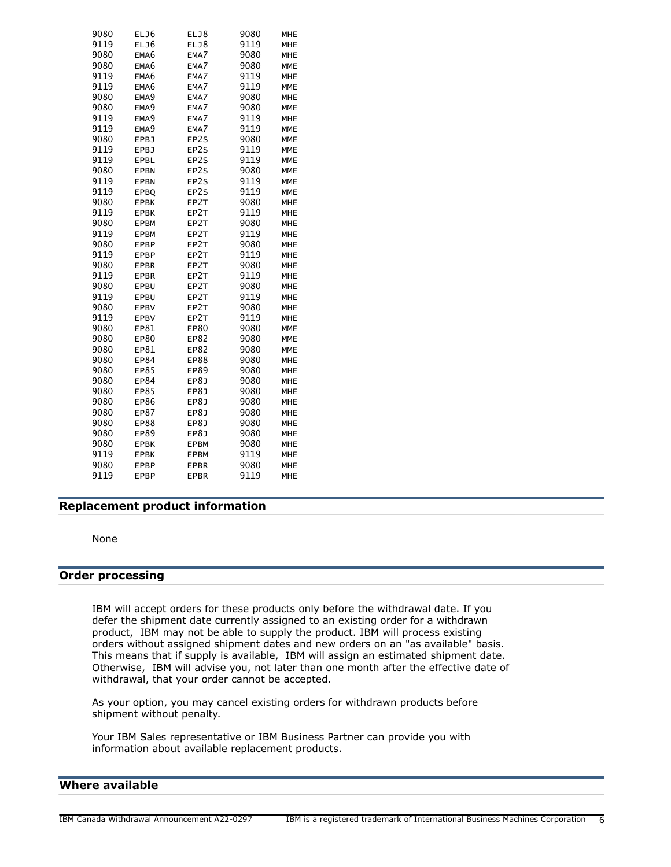| 9080 | ELJ6             | ELJ8        | 9080 | MHE        |
|------|------------------|-------------|------|------------|
| 9119 | ELJ6             | ELJ8        | 9119 | <b>MHE</b> |
| 9080 | EMA6             | EMA7        | 9080 | MHE        |
| 9080 | EMA6             | EMA7        | 9080 | <b>MME</b> |
| 9119 | EMA6             | EMA7        | 9119 | <b>MHE</b> |
| 9119 | EMA6             | EMA7        | 9119 | <b>MME</b> |
| 9080 | EMA9             | EMA7        | 9080 | <b>MHE</b> |
| 9080 | EMA <sub>9</sub> | EMA7        | 9080 | <b>MME</b> |
| 9119 | EMA <sub>9</sub> | EMA7        | 9119 | MHE        |
| 9119 | EMA9             | EMA7        | 9119 | <b>MME</b> |
| 9080 | <b>EPBJ</b>      | EP2S        | 9080 | <b>MME</b> |
| 9119 | <b>EPBJ</b>      | EP2S        | 9119 | <b>MME</b> |
| 9119 | EPBL             | EP2S        | 9119 | <b>MME</b> |
| 9080 | <b>EPBN</b>      | EP2S        | 9080 | <b>MME</b> |
| 9119 | <b>EPBN</b>      | EP2S        | 9119 | <b>MME</b> |
| 9119 | EPBQ             | EP2S        | 9119 | <b>MME</b> |
| 9080 | <b>EPBK</b>      | EP2T        | 9080 | <b>MHE</b> |
| 9119 | <b>EPBK</b>      | EP2T        | 9119 | MHE        |
| 9080 | <b>EPBM</b>      | EP2T        | 9080 | MHE        |
| 9119 | <b>EPBM</b>      | EP2T        | 9119 | <b>MHE</b> |
| 9080 | <b>EPBP</b>      | EP2T        | 9080 | <b>MHE</b> |
| 9119 | <b>EPBP</b>      | EP2T        | 9119 | <b>MHE</b> |
| 9080 | <b>EPBR</b>      | EP2T        | 9080 | MHE        |
| 9119 | <b>EPBR</b>      | EP2T        | 9119 | MHE        |
| 9080 | EPBU             | EP2T        | 9080 | <b>MHE</b> |
| 9119 | EPBU             | EP2T        | 9119 | <b>MHE</b> |
| 9080 | <b>EPBV</b>      | EP2T        | 9080 | <b>MHE</b> |
| 9119 | <b>EPBV</b>      | EP2T        | 9119 | MHE        |
| 9080 | EP81             | EP80        | 9080 | <b>MME</b> |
| 9080 | <b>EP80</b>      | EP82        | 9080 | <b>MME</b> |
| 9080 | EP81             | EP82        | 9080 | <b>MME</b> |
| 9080 | <b>EP84</b>      | EP88        | 9080 | <b>MHE</b> |
| 9080 | <b>EP85</b>      | EP89        | 9080 | <b>MHE</b> |
| 9080 | <b>EP84</b>      | EP8J        | 9080 | MHE        |
| 9080 | <b>EP85</b>      | EP8J        | 9080 | MHE        |
| 9080 | <b>EP86</b>      | EP8J        | 9080 | <b>MHE</b> |
| 9080 | <b>EP87</b>      | EP8J        | 9080 | <b>MHE</b> |
| 9080 | <b>EP88</b>      | <b>EP8J</b> | 9080 | MHE        |
| 9080 | EP89             | EP8J        | 9080 | MHE        |
| 9080 | <b>EPBK</b>      | <b>EPBM</b> | 9080 | <b>MHE</b> |
| 9119 | <b>EPBK</b>      | <b>EPBM</b> | 9119 | <b>MHE</b> |
| 9080 | <b>EPBP</b>      | <b>EPBR</b> | 9080 | <b>MHE</b> |
| 9119 | EPBP             | <b>EPBR</b> | 9119 | <b>MHE</b> |

# <span id="page-5-0"></span>**Replacement product information**

None

#### **Order processing**

IBM will accept orders for these products only before the withdrawal date. If you defer the shipment date currently assigned to an existing order for a withdrawn product, IBM may not be able to supply the product. IBM will process existing orders without assigned shipment dates and new orders on an "as available" basis. This means that if supply is available, IBM will assign an estimated shipment date. Otherwise, IBM will advise you, not later than one month after the effective date of withdrawal, that your order cannot be accepted.

As your option, you may cancel existing orders for withdrawn products before shipment without penalty.

Your IBM Sales representative or IBM Business Partner can provide you with information about available replacement products.

# <span id="page-5-1"></span>**Where available**